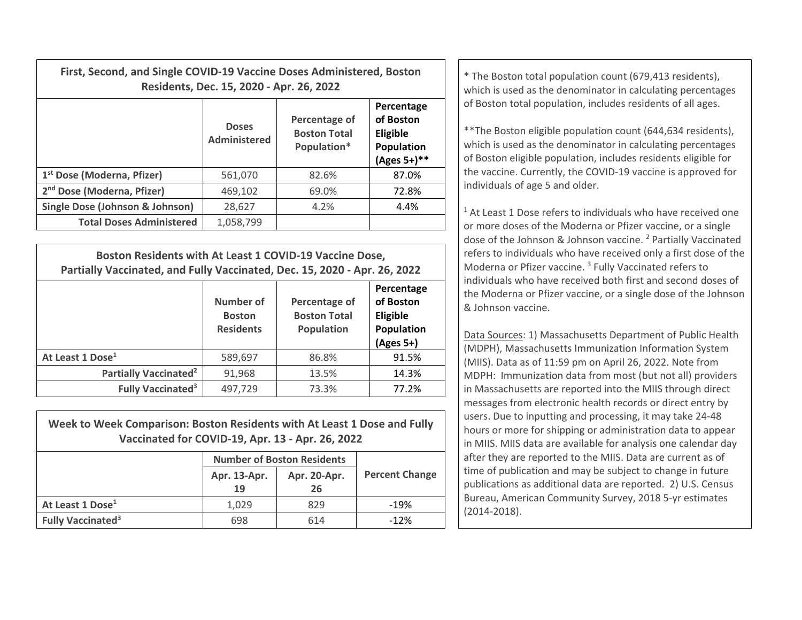| First, Second, and Single COVID-19 Vaccine Doses Administered, Boston | Residents, Dec. 15, 2020 - Apr. 26, 2022 | * The Boston total population count (679,413 residents),<br>which is used as the denominator in calculating percentages |                                                                     |                                                                                                                                                                                                                                                              |  |  |
|-----------------------------------------------------------------------|------------------------------------------|-------------------------------------------------------------------------------------------------------------------------|---------------------------------------------------------------------|--------------------------------------------------------------------------------------------------------------------------------------------------------------------------------------------------------------------------------------------------------------|--|--|
|                                                                       | <b>Doses</b><br>Administered             | Percentage of<br><b>Boston Total</b><br>Population*                                                                     | Percentage<br>of Boston<br>Eligible<br>Population<br>$(Ages 5+)$ ** | of Boston total population, includes residents of all ages.<br>** The Boston eligible population count (644,634 residents),<br>which is used as the denominator in calculating percentages<br>of Boston eligible population, includes residents eligible for |  |  |
| 1 <sup>st</sup> Dose (Moderna, Pfizer)                                | 561,070                                  | 82.6%                                                                                                                   | 87.0%                                                               | the vaccine. Currently, the COVID-19 vaccine is approved for                                                                                                                                                                                                 |  |  |
| 2 <sup>nd</sup> Dose (Moderna, Pfizer)                                | 469,102                                  | 69.0%                                                                                                                   | 72.8%                                                               | individuals of age 5 and older.                                                                                                                                                                                                                              |  |  |
| Single Dose (Johnson & Johnson)                                       | 28,627                                   | 4.2%                                                                                                                    | 4.4%                                                                | <sup>1</sup> At Least 1 Dose refers to individuals who have received on                                                                                                                                                                                      |  |  |
| <b>Total Doses Administered</b>                                       | 1,058,799                                |                                                                                                                         |                                                                     | or more doses of the Moderna or Pfizer vaccine, or a single                                                                                                                                                                                                  |  |  |

| Boston Residents with At Least 1 COVID-19 Vaccine Dose,<br>Partially Vaccinated, and Fully Vaccinated, Dec. 15, 2020 - Apr. 26, 2022 |                                                |                                                           |                                                                  |  |  |  |
|--------------------------------------------------------------------------------------------------------------------------------------|------------------------------------------------|-----------------------------------------------------------|------------------------------------------------------------------|--|--|--|
|                                                                                                                                      | Number of<br><b>Boston</b><br><b>Residents</b> | Percentage of<br><b>Boston Total</b><br><b>Population</b> | Percentage<br>of Boston<br>Eligible<br>Population<br>$(Ages 5+)$ |  |  |  |
| At Least 1 Dose <sup>1</sup>                                                                                                         | 589,697                                        | 86.8%                                                     | 91.5%                                                            |  |  |  |
| Partially Vaccinated <sup>2</sup>                                                                                                    | 91,968                                         | 13.5%                                                     | 14.3%                                                            |  |  |  |
| <b>Fully Vaccinated<sup>3</sup></b>                                                                                                  | 497,729                                        | 73.3%                                                     | 77.2%                                                            |  |  |  |

| Week to Week Comparison: Boston Residents with At Least 1 Dose and Fully<br>Vaccinated for COVID-19, Apr. 13 - Apr. 26, 2022 |                                   |              |                       |  |  |  |  |
|------------------------------------------------------------------------------------------------------------------------------|-----------------------------------|--------------|-----------------------|--|--|--|--|
|                                                                                                                              | <b>Number of Boston Residents</b> |              |                       |  |  |  |  |
|                                                                                                                              | Apr. 13-Apr.<br>19                | Apr. 20-Apr. | <b>Percent Change</b> |  |  |  |  |
|                                                                                                                              |                                   | 26           |                       |  |  |  |  |
| At Least 1 Dose <sup>1</sup>                                                                                                 | 1.029                             | 829          | $-19%$                |  |  |  |  |
| <b>Fully Vaccinated<sup>3</sup></b>                                                                                          | 698                               | 614          | $-12%$                |  |  |  |  |

 $1$  At Least 1 Dose refers to individuals who have received one or more doses of the Moderna or Pfizer vaccine, or <sup>a</sup> single dose of the Johnson & Johnson vaccine. <sup>2</sup> Partially Vaccinated refers to individuals who have received only <sup>a</sup> first dose of the Moderna or Pfizer vaccine. <sup>3</sup> Fully Vaccinated refers to individuals who have received both first and second doses of the Moderna or Pfizer vaccine, or <sup>a</sup> single dose of the Johnson & Johnson vaccine.

Data Sources: 1) Massachusetts Department of Public Health (MDPH), Massachusetts Immunization Information System (MIIS). Data as of 11:59 pm on April 26, 2022. Note from MDPH: Immunization data from most (but not all) providers in Massachusetts are reported into the MIIS through direct messages from electronic health records or direct entry by users. Due to inputting and processing, it may take 24‐48 hours or more for shipping or administration data to appear in MIIS. MIIS data are available for analysis one calendar day after they are reported to the MIIS. Data are current as of time of publication and may be subject to change in future publications as additional data are reported. 2) U.S. Census Bureau, American Community Survey, 2018 5‐yr estimates (2014‐2018).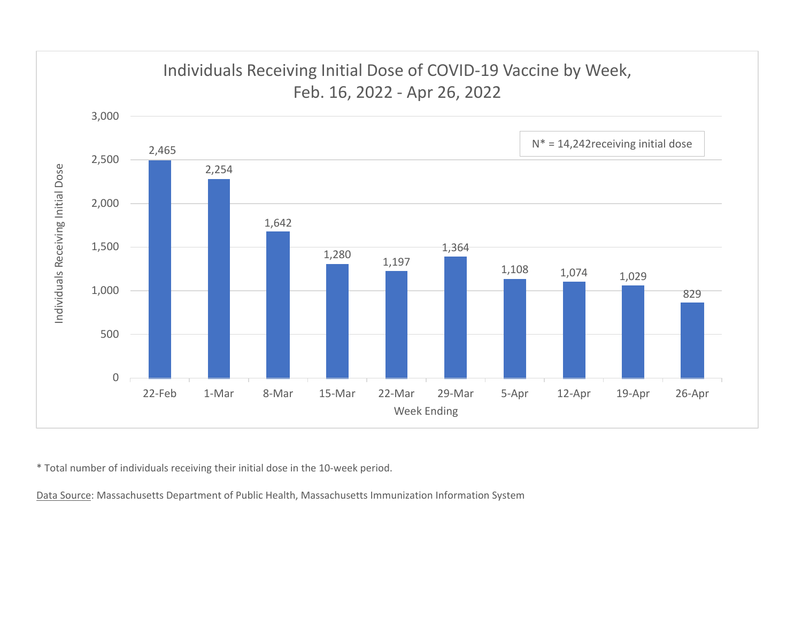

\* Total number of individuals receiving their initial dose in the 10‐week period.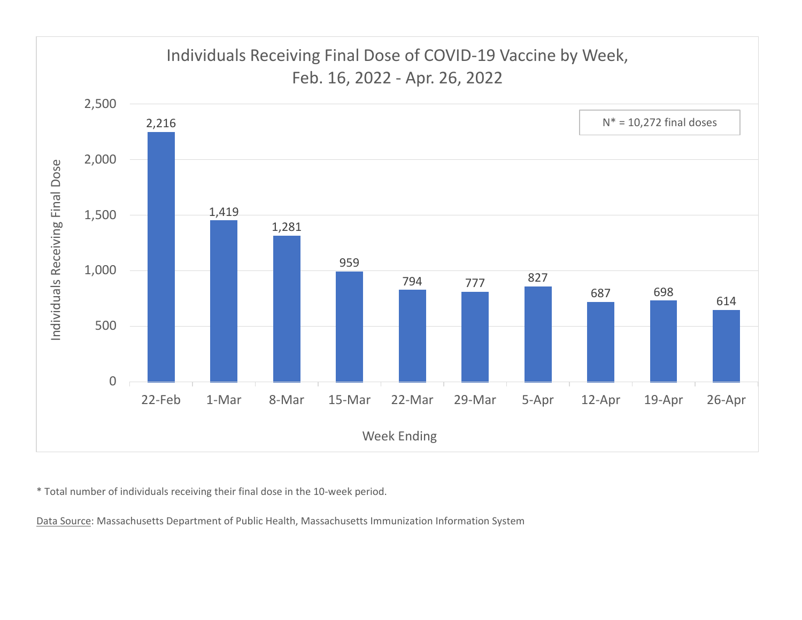

\* Total number of individuals receiving their final dose in the 10‐week period.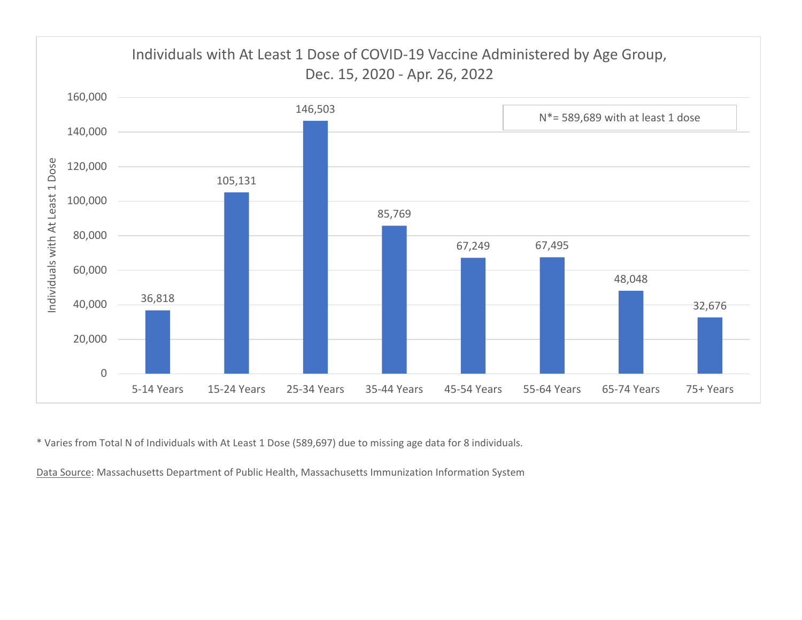

\* Varies from Total N of Individuals with At Least 1 Dose (589,697) due to missing age data for 8 individuals.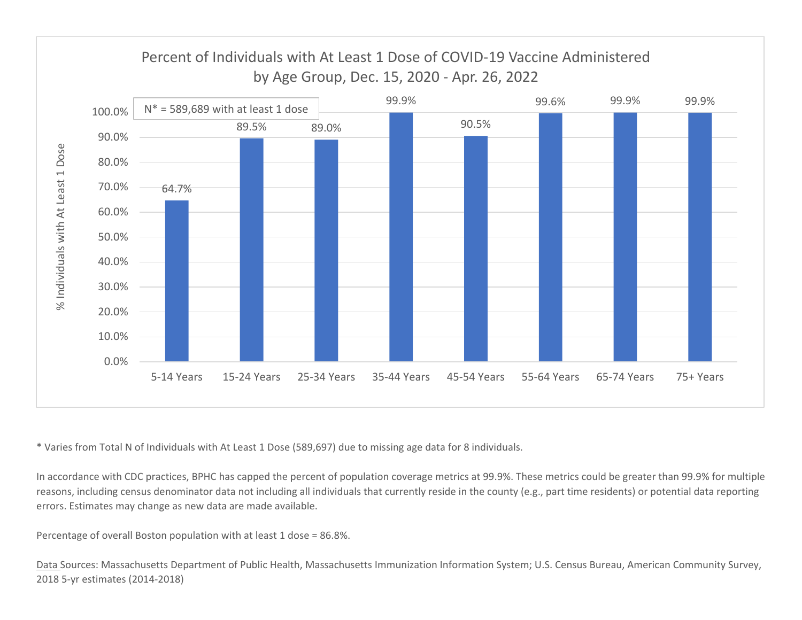

\* Varies from Total N of Individuals with At Least 1 Dose (589,697) due to missing age data for 8 individuals.

In accordance with CDC practices, BPHC has capped the percent of population coverage metrics at 99.9%. These metrics could be greater than 99.9% for multiple reasons, including census denominator data not including all individuals that currently reside in the county (e.g., part time residents) or potential data reporting errors. Estimates may change as new data are made available.

Percentage of overall Boston population with at least 1 dose <sup>=</sup> 86.8%.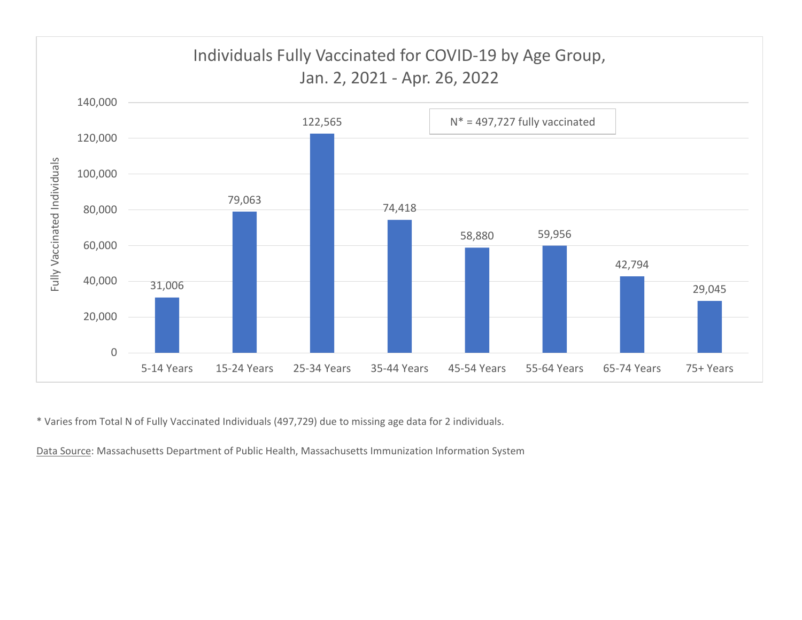

\* Varies from Total N of Fully Vaccinated Individuals (497,729) due to missing age data for 2 individuals.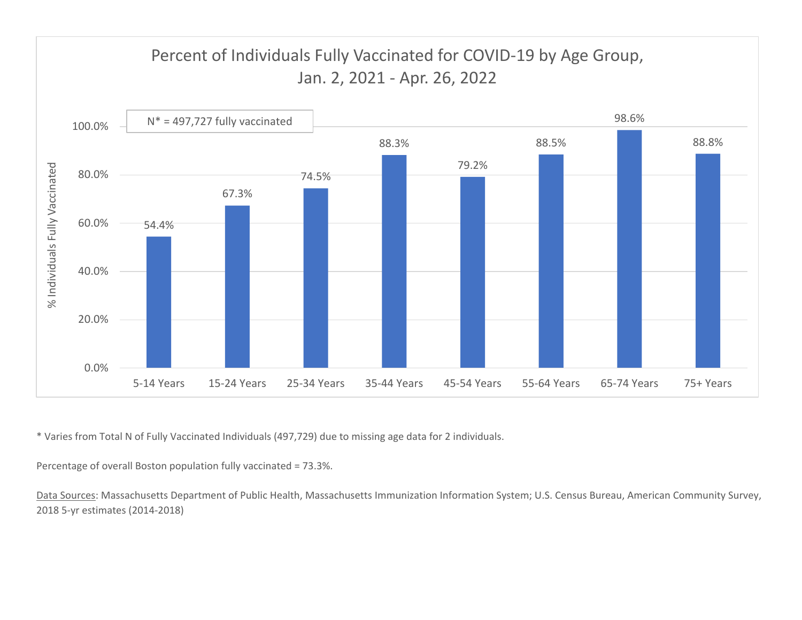

\* Varies from Total N of Fully Vaccinated Individuals (497,729) due to missing age data for 2 individuals.

Percentage of overall Boston population fully vaccinated <sup>=</sup> 73.3%.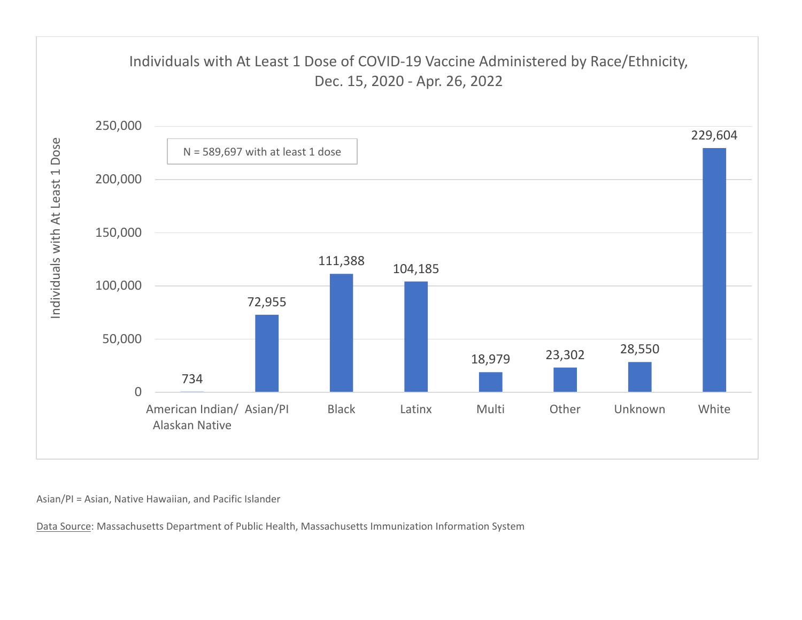

Asian/PI <sup>=</sup> Asian, Native Hawaiian, and Pacific Islander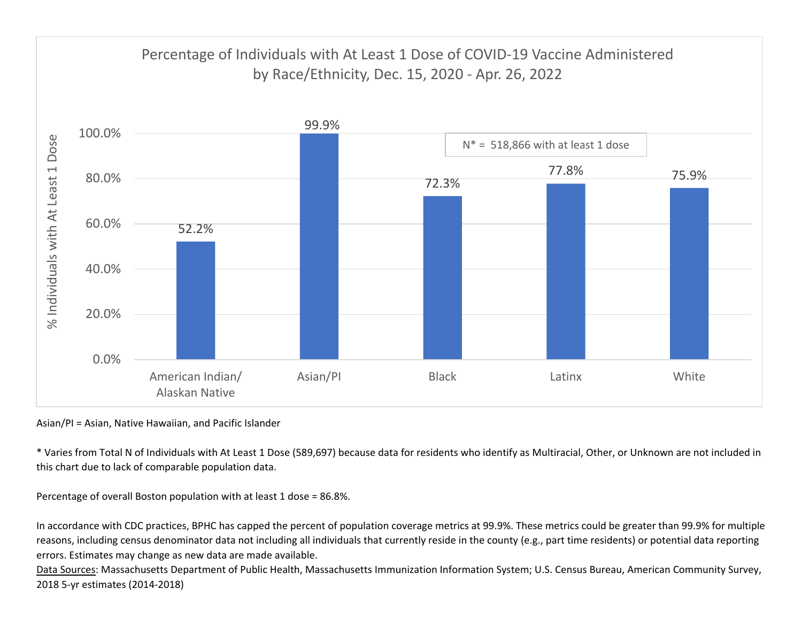

Asian/PI <sup>=</sup> Asian, Native Hawaiian, and Pacific Islander

\* Varies from Total N of Individuals with At Least 1 Dose (589,697) because data for residents who identify as Multiracial, Other, or Unknown are not included in this chart due to lack of comparable population data.

Percentage of overall Boston population with at least 1 dose <sup>=</sup> 86.8%.

In accordance with CDC practices, BPHC has capped the percent of population coverage metrics at 99.9%. These metrics could be greater than 99.9% for multiple reasons, including census denominator data not including all individuals that currently reside in the county (e.g., part time residents) or potential data reporting errors. Estimates may change as new data are made available.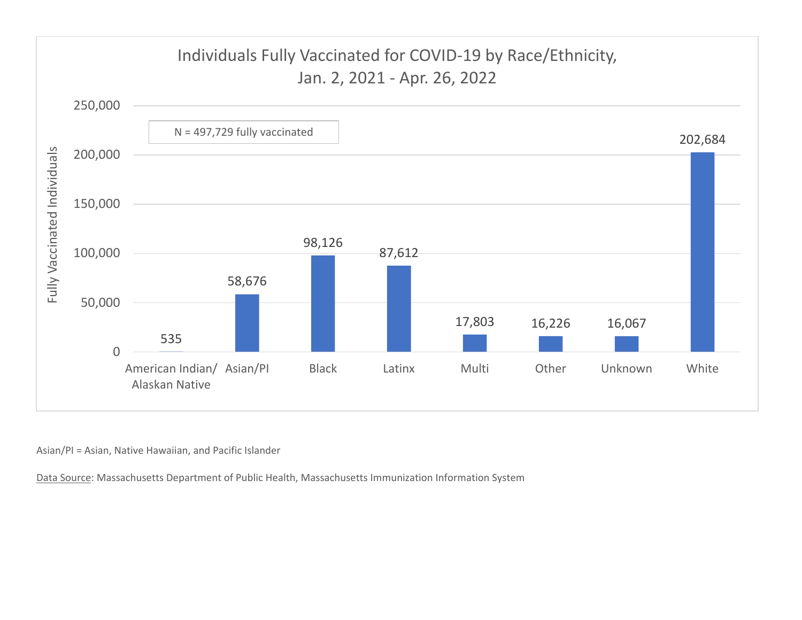

Asian/PI <sup>=</sup> Asian, Native Hawaiian, and Pacific Islander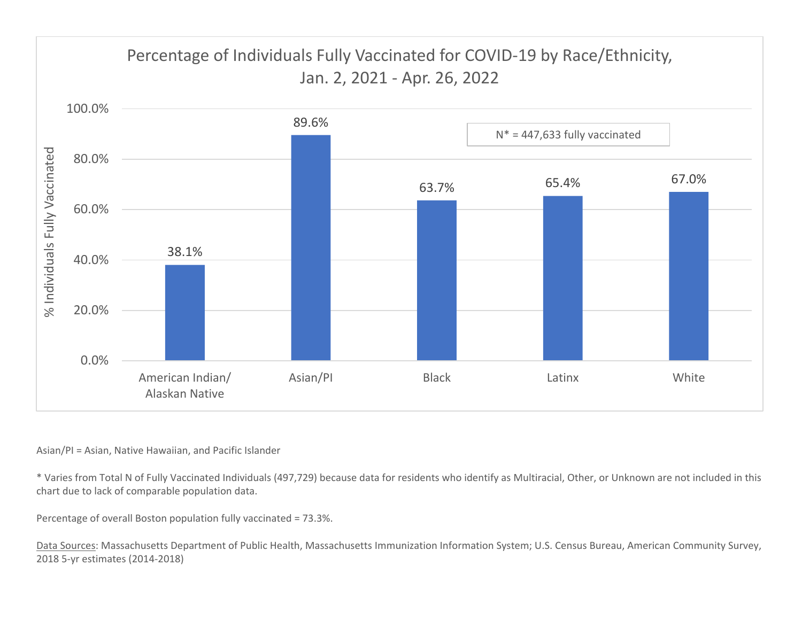

## Asian/PI <sup>=</sup> Asian, Native Hawaiian, and Pacific Islander

\* Varies from Total N of Fully Vaccinated Individuals (497,729) because data for residents who identify as Multiracial, Other, or Unknown are not included in this chart due to lack of comparable population data.

Percentage of overall Boston population fully vaccinated <sup>=</sup> 73.3%.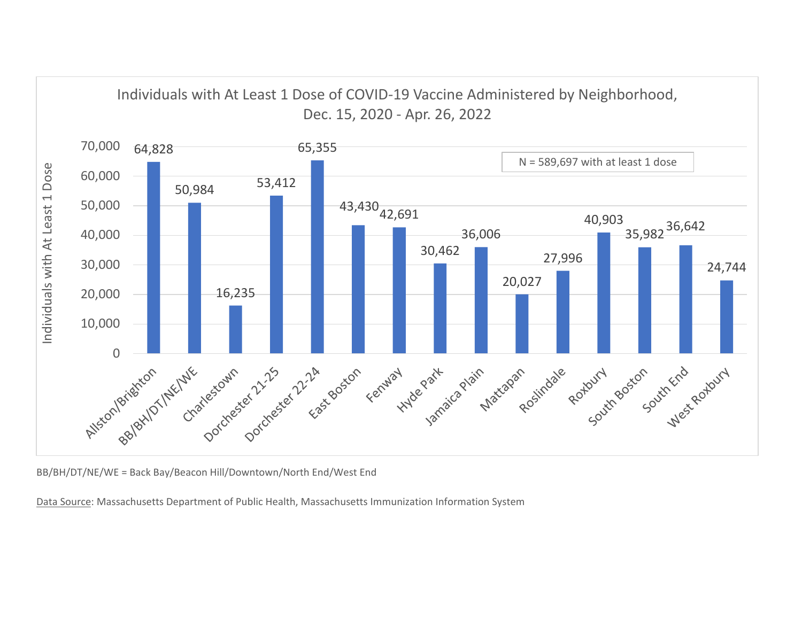

BB/BH/DT/NE/WE <sup>=</sup> Back Bay/Beacon Hill/Downtown/North End/West End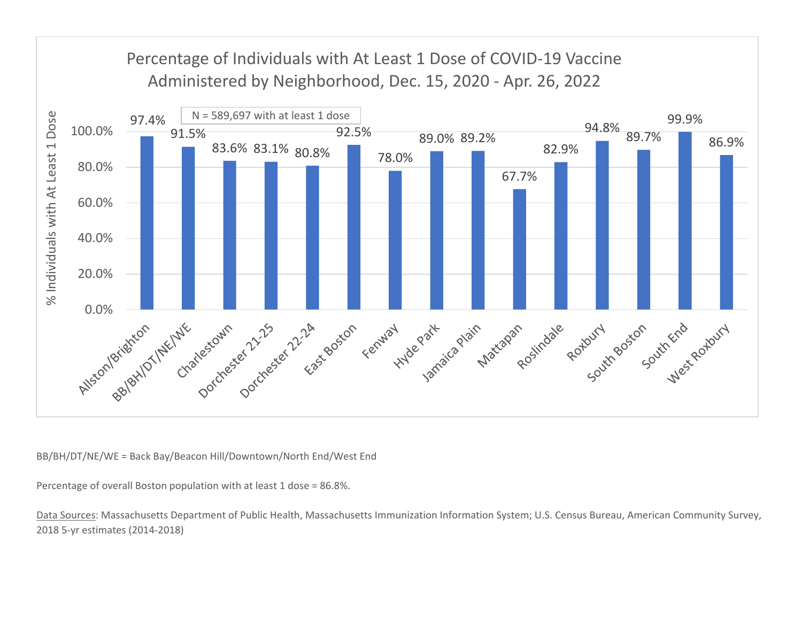

BB/BH/DT/NE/WE <sup>=</sup> Back Bay/Beacon Hill/Downtown/North End/West End

Percentage of overall Boston population with at least 1 dose <sup>=</sup> 86.8%.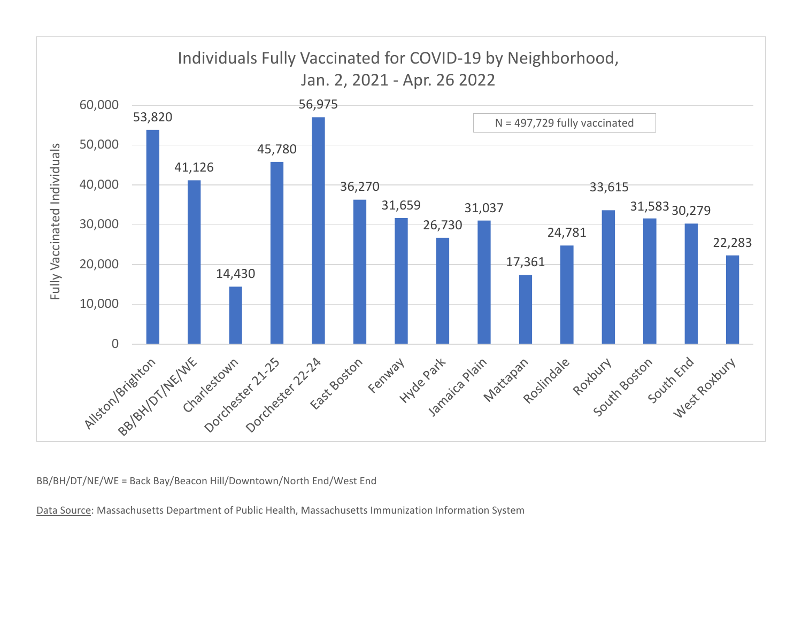

BB/BH/DT/NE/WE <sup>=</sup> Back Bay/Beacon Hill/Downtown/North End/West End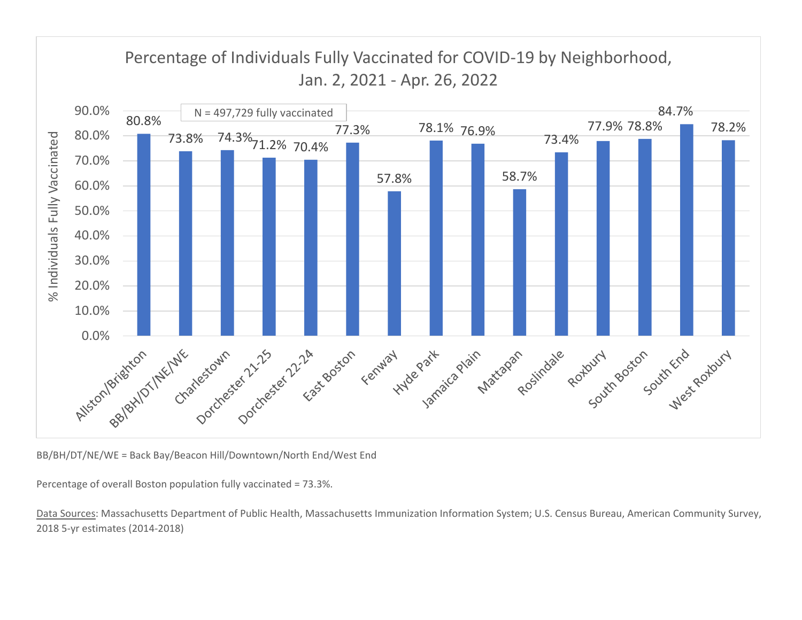

BB/BH/DT/NE/WE <sup>=</sup> Back Bay/Beacon Hill/Downtown/North End/West End

Percentage of overall Boston population fully vaccinated <sup>=</sup> 73.3%.